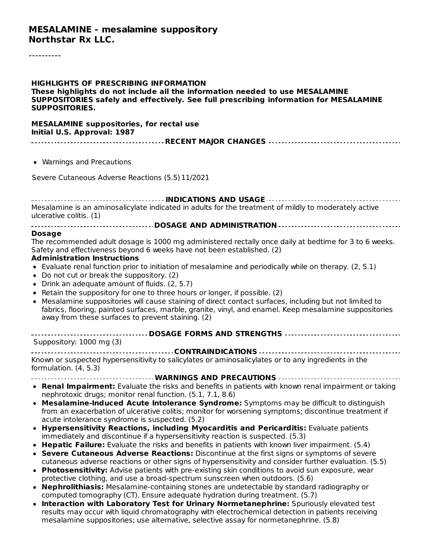#### **MESALAMINE - mesalamine suppository Northstar Rx LLC.**

**HIGHLIGHTS OF PRESCRIBING INFORMATION These highlights do not include all the information needed to use MESALAMINE SUPPOSITORIES safely and effectively. See full prescribing information for MESALAMINE SUPPOSITORIES.**

#### **MESALAMINE suppositories, for rectal use Initial U.S. Approval: 1987**

|--|

Warnings and Precautions

Severe Cutaneous Adverse Reactions (5.5)11/2021

**INDICATIONS AND USAGE** Mesalamine is an aminosalicylate indicated in adults for the treatment of mildly to moderately active ulcerative colitis. (1)

#### **DOSAGE AND ADMINISTRATION**

#### **Dosage**

The recommended adult dosage is 1000 mg administered rectally once daily at bedtime for 3 to 6 weeks. Safety and effectiveness beyond 6 weeks have not been established. (2)

#### **Administration Instructions**

- Evaluate renal function prior to initiation of mesalamine and periodically while on therapy. (2, 5.1)
- Do not cut or break the suppository. (2)
- Drink an adequate amount of fluids. (2, 5.7)
- $\bullet$  Retain the suppository for one to three hours or longer, if possible. (2)
- Mesalamine suppositories will cause staining of direct contact surfaces, including but not limited to fabrics, flooring, painted surfaces, marble, granite, vinyl, and enamel. Keep mesalamine suppositories away from these surfaces to prevent staining. (2)

| Suppository: 1000 mg (3)                                                                                                     |
|------------------------------------------------------------------------------------------------------------------------------|
|                                                                                                                              |
| Known or suspected hypersensitivity to salicylates or aminosalicylates or to any ingredients in the<br>formulation. (4, 5.3) |
|                                                                                                                              |
|                                                                                                                              |

- **Renal Impairment:** Evaluate the risks and benefits in patients with known renal impairment or taking  $\bullet$ nephrotoxic drugs; monitor renal function. (5.1, 7.1, 8.6)
- **Mesalamine-Induced Acute Intolerance Syndrome:** Symptoms may be difficult to distinguish from an exacerbation of ulcerative colitis; monitor for worsening symptoms; discontinue treatment if acute intolerance syndrome is suspected. (5.2)
- **Hypersensitivity Reactions, including Myocarditis and Pericarditis:** Evaluate patients immediately and discontinue if a hypersensitivity reaction is suspected. (5.3)
- **Hepatic Failure:** Evaluate the risks and benefits in patients with known liver impairment. (5.4)
- **Severe Cutaneous Adverse Reactions:** Discontinue at the first signs or symptoms of severe cutaneous adverse reactions or other signs of hypersensitivity and consider further evaluation. (5.5)
- **Photosensitivity:** Advise patients with pre-existing skin conditions to avoid sun exposure, wear protective clothing, and use a broad-spectrum sunscreen when outdoors. (5.6)
- **Nephrolithiasis:** Mesalamine-containing stones are undetectable by standard radiography or computed tomography (CT). Ensure adequate hydration during treatment. (5.7)
- **Interaction with Laboratory Test for Urinary Normetanephrine:** Spuriously elevated test results may occur with liquid chromatography with electrochemical detection in patients receiving mesalamine suppositories; use alternative, selective assay for normetanephrine. (5.8)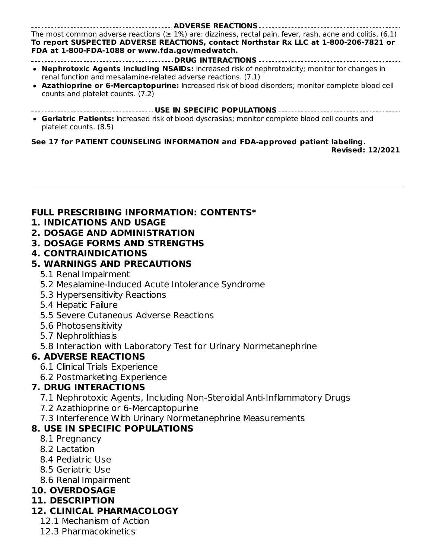**ADVERSE REACTIONS** The most common adverse reactions ( $\geq 1\%$ ) are: dizziness, rectal pain, fever, rash, acne and colitis. (6.1) **To report SUSPECTED ADVERSE REACTIONS, contact Northstar Rx LLC at 1-800-206-7821 or FDA at 1-800-FDA-1088 or www.fda.gov/medwatch.**

- **DRUG INTERACTIONS Nephrotoxic Agents including NSAIDs:** Increased risk of nephrotoxicity; monitor for changes in renal function and mesalamine-related adverse reactions. (7.1)
- **Azathioprine or 6-Mercaptopurine:** Increased risk of blood disorders; monitor complete blood cell counts and platelet counts. (7.2)
- **USE IN SPECIFIC POPULATIONS**
- **Geriatric Patients:** Increased risk of blood dyscrasias; monitor complete blood cell counts and platelet counts. (8.5)

#### **See 17 for PATIENT COUNSELING INFORMATION and FDA-approved patient labeling.**

**Revised: 12/2021**

#### **FULL PRESCRIBING INFORMATION: CONTENTS\***

- **1. INDICATIONS AND USAGE**
- **2. DOSAGE AND ADMINISTRATION**

#### **3. DOSAGE FORMS AND STRENGTHS**

**4. CONTRAINDICATIONS**

### **5. WARNINGS AND PRECAUTIONS**

- 5.1 Renal Impairment
- 5.2 Mesalamine-Induced Acute Intolerance Syndrome
- 5.3 Hypersensitivity Reactions
- 5.4 Hepatic Failure
- 5.5 Severe Cutaneous Adverse Reactions
- 5.6 Photosensitivity
- 5.7 Nephrolithiasis
- 5.8 Interaction with Laboratory Test for Urinary Normetanephrine

### **6. ADVERSE REACTIONS**

- 6.1 Clinical Trials Experience
- 6.2 Postmarketing Experience

## **7. DRUG INTERACTIONS**

- 7.1 Nephrotoxic Agents, Including Non-Steroidal Anti-Inflammatory Drugs
- 7.2 Azathioprine or 6-Mercaptopurine
- 7.3 Interference With Urinary Normetanephrine Measurements

## **8. USE IN SPECIFIC POPULATIONS**

- 8.1 Pregnancy
- 8.2 Lactation
- 8.4 Pediatric Use
- 8.5 Geriatric Use
- 8.6 Renal Impairment

### **10. OVERDOSAGE**

### **11. DESCRIPTION**

- **12. CLINICAL PHARMACOLOGY**
	- 12.1 Mechanism of Action
	- 12.3 Pharmacokinetics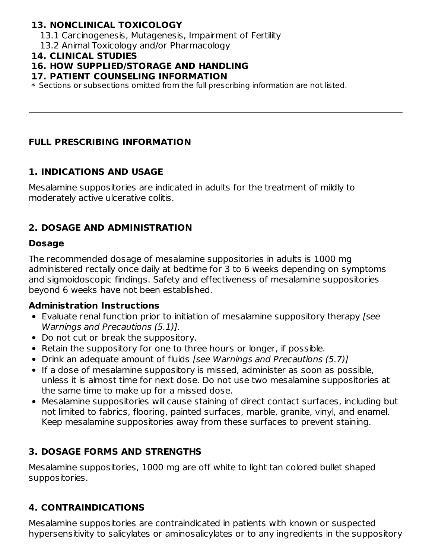#### **13. NONCLINICAL TOXICOLOGY**

- 13.1 Carcinogenesis, Mutagenesis, Impairment of Fertility
- 13.2 Animal Toxicology and/or Pharmacology

#### **14. CLINICAL STUDIES**

#### **16. HOW SUPPLIED/STORAGE AND HANDLING**

#### **17. PATIENT COUNSELING INFORMATION**

 $\ast$  Sections or subsections omitted from the full prescribing information are not listed.

#### **FULL PRESCRIBING INFORMATION**

#### **1. INDICATIONS AND USAGE**

Mesalamine suppositories are indicated in adults for the treatment of mildly to moderately active ulcerative colitis.

### **2. DOSAGE AND ADMINISTRATION**

#### **Dosage**

The recommended dosage of mesalamine suppositories in adults is 1000 mg administered rectally once daily at bedtime for 3 to 6 weeks depending on symptoms and sigmoidoscopic findings. Safety and effectiveness of mesalamine suppositories beyond 6 weeks have not been established.

#### **Administration Instructions**

- Evaluate renal function prior to initiation of mesalamine suppository therapy [see Warnings and Precautions (5.1)].
- Do not cut or break the suppository.
- Retain the suppository for one to three hours or longer, if possible.
- Drink an adequate amount of fluids [see Warnings and Precautions (5.7)]
- If a dose of mesalamine suppository is missed, administer as soon as possible, unless it is almost time for next dose. Do not use two mesalamine suppositories at the same time to make up for a missed dose.
- Mesalamine suppositories will cause staining of direct contact surfaces, including but not limited to fabrics, flooring, painted surfaces, marble, granite, vinyl, and enamel. Keep mesalamine suppositories away from these surfaces to prevent staining.

### **3. DOSAGE FORMS AND STRENGTHS**

Mesalamine suppositories, 1000 mg are off white to light tan colored bullet shaped suppositories.

### **4. CONTRAINDICATIONS**

Mesalamine suppositories are contraindicated in patients with known or suspected hypersensitivity to salicylates or aminosalicylates or to any ingredients in the suppository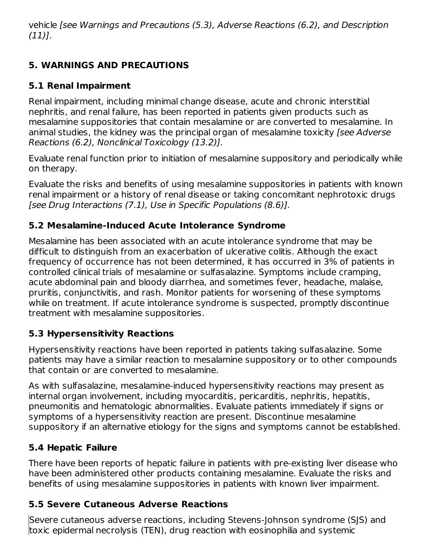vehicle [see Warnings and Precautions (5.3), Adverse Reactions (6.2), and Description (11)].

# **5. WARNINGS AND PRECAUTIONS**

## **5.1 Renal Impairment**

Renal impairment, including minimal change disease, acute and chronic interstitial nephritis, and renal failure, has been reported in patients given products such as mesalamine suppositories that contain mesalamine or are converted to mesalamine. In animal studies, the kidney was the principal organ of mesalamine toxicity [see Adverse Reactions (6.2), Nonclinical Toxicology (13.2)].

Evaluate renal function prior to initiation of mesalamine suppository and periodically while on therapy.

Evaluate the risks and benefits of using mesalamine suppositories in patients with known renal impairment or a history of renal disease or taking concomitant nephrotoxic drugs [see Drug Interactions (7.1), Use in Specific Populations (8.6)].

### **5.2 Mesalamine-Induced Acute Intolerance Syndrome**

Mesalamine has been associated with an acute intolerance syndrome that may be difficult to distinguish from an exacerbation of ulcerative colitis. Although the exact frequency of occurrence has not been determined, it has occurred in 3% of patients in controlled clinical trials of mesalamine or sulfasalazine. Symptoms include cramping, acute abdominal pain and bloody diarrhea, and sometimes fever, headache, malaise, pruritis, conjunctivitis, and rash. Monitor patients for worsening of these symptoms while on treatment. If acute intolerance syndrome is suspected, promptly discontinue treatment with mesalamine suppositories.

## **5.3 Hypersensitivity Reactions**

Hypersensitivity reactions have been reported in patients taking sulfasalazine. Some patients may have a similar reaction to mesalamine suppository or to other compounds that contain or are converted to mesalamine.

As with sulfasalazine, mesalamine-induced hypersensitivity reactions may present as internal organ involvement, including myocarditis, pericarditis, nephritis, hepatitis, pneumonitis and hematologic abnormalities. Evaluate patients immediately if signs or symptoms of a hypersensitivity reaction are present. Discontinue mesalamine suppository if an alternative etiology for the signs and symptoms cannot be established.

## **5.4 Hepatic Failure**

There have been reports of hepatic failure in patients with pre-existing liver disease who have been administered other products containing mesalamine. Evaluate the risks and benefits of using mesalamine suppositories in patients with known liver impairment.

## **5.5 Severe Cutaneous Adverse Reactions**

Severe cutaneous adverse reactions, including Stevens-Johnson syndrome (SJS) and toxic epidermal necrolysis (TEN), drug reaction with eosinophilia and systemic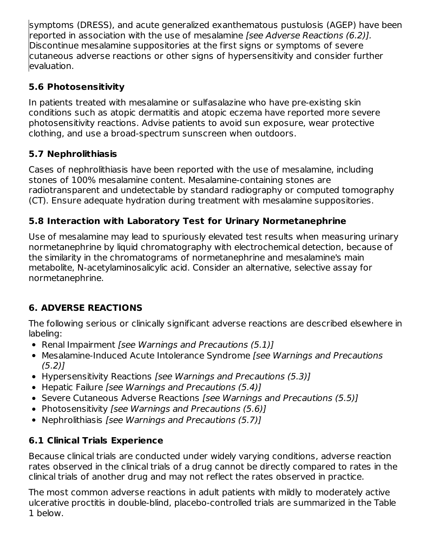symptoms (DRESS), and acute generalized exanthematous pustulosis (AGEP) have been reported in association with the use of mesalamine *[see Adverse Reactions (6.2)].* Discontinue mesalamine suppositories at the first signs or symptoms of severe cutaneous adverse reactions or other signs of hypersensitivity and consider further evaluation.

## **5.6 Photosensitivity**

In patients treated with mesalamine or sulfasalazine who have pre-existing skin conditions such as atopic dermatitis and atopic eczema have reported more severe photosensitivity reactions. Advise patients to avoid sun exposure, wear protective clothing, and use a broad-spectrum sunscreen when outdoors.

# **5.7 Nephrolithiasis**

Cases of nephrolithiasis have been reported with the use of mesalamine, including stones of 100% mesalamine content. Mesalamine-containing stones are radiotransparent and undetectable by standard radiography or computed tomography (CT). Ensure adequate hydration during treatment with mesalamine suppositories.

# **5.8 Interaction with Laboratory Test for Urinary Normetanephrine**

Use of mesalamine may lead to spuriously elevated test results when measuring urinary normetanephrine by liquid chromatography with electrochemical detection, because of the similarity in the chromatograms of normetanephrine and mesalamine's main metabolite, N-acetylaminosalicylic acid. Consider an alternative, selective assay for normetanephrine.

# **6. ADVERSE REACTIONS**

The following serious or clinically significant adverse reactions are described elsewhere in labeling:

- Renal Impairment [see Warnings and Precautions (5.1)]
- Mesalamine-Induced Acute Intolerance Syndrome [see Warnings and Precautions  $(5.2)$ ]
- Hypersensitivity Reactions [see Warnings and Precautions (5.3)]
- Hepatic Failure [see Warnings and Precautions (5.4)]
- Severe Cutaneous Adverse Reactions [see Warnings and Precautions (5.5)]
- Photosensitivity [see Warnings and Precautions (5.6)]
- Nephrolithiasis [see Warnings and Precautions (5.7)]

# **6.1 Clinical Trials Experience**

Because clinical trials are conducted under widely varying conditions, adverse reaction rates observed in the clinical trials of a drug cannot be directly compared to rates in the clinical trials of another drug and may not reflect the rates observed in practice.

The most common adverse reactions in adult patients with mildly to moderately active ulcerative proctitis in double-blind, placebo-controlled trials are summarized in the Table 1 below.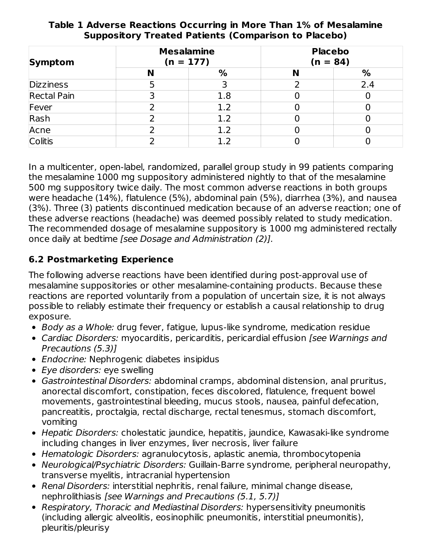| Symptom            |   | <b>Mesalamine</b><br>$(n = 177)$ | <b>Placebo</b><br>$(n = 84)$ |     |  |
|--------------------|---|----------------------------------|------------------------------|-----|--|
|                    | N | %                                | N                            | %   |  |
| <b>Dizziness</b>   |   |                                  |                              | 2.4 |  |
| <b>Rectal Pain</b> |   | 1.8                              |                              |     |  |
| Fever              |   | 1.2                              |                              |     |  |
| Rash               |   | 1.2                              |                              |     |  |
| Acne               |   | 1.2                              |                              |     |  |
| <b>Colitis</b>     |   |                                  |                              |     |  |

#### **Table 1 Adverse Reactions Occurring in More Than 1% of Mesalamine Suppository Treated Patients (Comparison to Placebo)**

In a multicenter, open-label, randomized, parallel group study in 99 patients comparing the mesalamine 1000 mg suppository administered nightly to that of the mesalamine 500 mg suppository twice daily. The most common adverse reactions in both groups were headache (14%), flatulence (5%), abdominal pain (5%), diarrhea (3%), and nausea (3%). Three (3) patients discontinued medication because of an adverse reaction; one of these adverse reactions (headache) was deemed possibly related to study medication. The recommended dosage of mesalamine suppository is 1000 mg administered rectally once daily at bedtime [see Dosage and Administration (2)].

## **6.2 Postmarketing Experience**

The following adverse reactions have been identified during post-approval use of mesalamine suppositories or other mesalamine-containing products. Because these reactions are reported voluntarily from a population of uncertain size, it is not always possible to reliably estimate their frequency or establish a causal relationship to drug exposure.

- Body as a Whole: drug fever, fatigue, lupus-like syndrome, medication residue
- Cardiac Disorders: myocarditis, pericarditis, pericardial effusion [see Warnings and Precautions (5.3)]
- Endocrine: Nephrogenic diabetes insipidus
- Eye disorders: eye swelling
- Gastrointestinal Disorders: abdominal cramps, abdominal distension, anal pruritus, anorectal discomfort, constipation, feces discolored, flatulence, frequent bowel movements, gastrointestinal bleeding, mucus stools, nausea, painful defecation, pancreatitis, proctalgia, rectal discharge, rectal tenesmus, stomach discomfort, vomiting
- Hepatic Disorders: cholestatic jaundice, hepatitis, jaundice, Kawasaki-like syndrome including changes in liver enzymes, liver necrosis, liver failure
- Hematologic Disorders: agranulocytosis, aplastic anemia, thrombocytopenia
- Neurological/Psychiatric Disorders: Guillain-Barre syndrome, peripheral neuropathy, transverse myelitis, intracranial hypertension
- Renal Disorders: interstitial nephritis, renal failure, minimal change disease, nephrolithiasis [see Warnings and Precautions (5.1, 5.7)]
- Respiratory, Thoracic and Mediastinal Disorders: hypersensitivity pneumonitis (including allergic alveolitis, eosinophilic pneumonitis, interstitial pneumonitis), pleuritis/pleurisy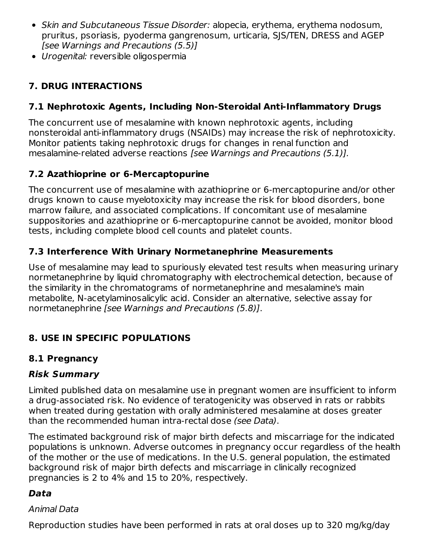- Skin and Subcutaneous Tissue Disorder: alopecia, erythema, erythema nodosum, pruritus, psoriasis, pyoderma gangrenosum, urticaria, SJS/TEN, DRESS and AGEP [see Warnings and Precautions (5.5)]
- Urogenital: reversible oligospermia

## **7. DRUG INTERACTIONS**

## **7.1 Nephrotoxic Agents, Including Non-Steroidal Anti-Inflammatory Drugs**

The concurrent use of mesalamine with known nephrotoxic agents, including nonsteroidal anti-inflammatory drugs (NSAIDs) may increase the risk of nephrotoxicity. Monitor patients taking nephrotoxic drugs for changes in renal function and mesalamine-related adverse reactions [see Warnings and Precautions (5.1)].

# **7.2 Azathioprine or 6-Mercaptopurine**

The concurrent use of mesalamine with azathioprine or 6-mercaptopurine and/or other drugs known to cause myelotoxicity may increase the risk for blood disorders, bone marrow failure, and associated complications. If concomitant use of mesalamine suppositories and azathioprine or 6-mercaptopurine cannot be avoided, monitor blood tests, including complete blood cell counts and platelet counts.

## **7.3 Interference With Urinary Normetanephrine Measurements**

Use of mesalamine may lead to spuriously elevated test results when measuring urinary normetanephrine by liquid chromatography with electrochemical detection, because of the similarity in the chromatograms of normetanephrine and mesalamine's main metabolite, N-acetylaminosalicylic acid. Consider an alternative, selective assay for normetanephrine [see Warnings and Precautions (5.8)].

# **8. USE IN SPECIFIC POPULATIONS**

## **8.1 Pregnancy**

## **Risk Summary**

Limited published data on mesalamine use in pregnant women are insufficient to inform a drug-associated risk. No evidence of teratogenicity was observed in rats or rabbits when treated during gestation with orally administered mesalamine at doses greater than the recommended human intra-rectal dose (see Data).

The estimated background risk of major birth defects and miscarriage for the indicated populations is unknown. Adverse outcomes in pregnancy occur regardless of the health of the mother or the use of medications. In the U.S. general population, the estimated background risk of major birth defects and miscarriage in clinically recognized pregnancies is 2 to 4% and 15 to 20%, respectively.

## **Data**

### Animal Data

Reproduction studies have been performed in rats at oral doses up to 320 mg/kg/day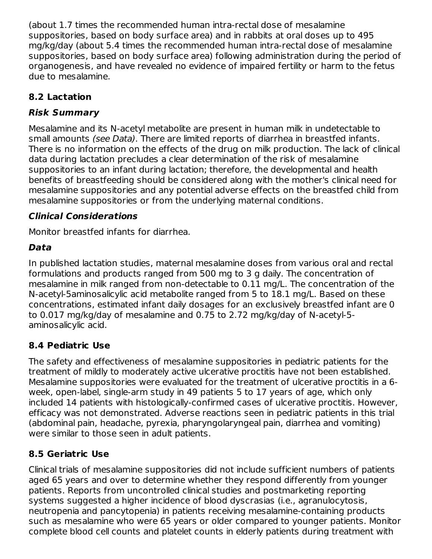(about 1.7 times the recommended human intra-rectal dose of mesalamine suppositories, based on body surface area) and in rabbits at oral doses up to 495 mg/kg/day (about 5.4 times the recommended human intra-rectal dose of mesalamine suppositories, based on body surface area) following administration during the period of organogenesis, and have revealed no evidence of impaired fertility or harm to the fetus due to mesalamine.

## **8.2 Lactation**

## **Risk Summary**

Mesalamine and its N-acetyl metabolite are present in human milk in undetectable to small amounts (see Data). There are limited reports of diarrhea in breastfed infants. There is no information on the effects of the drug on milk production. The lack of clinical data during lactation precludes a clear determination of the risk of mesalamine suppositories to an infant during lactation; therefore, the developmental and health benefits of breastfeeding should be considered along with the mother's clinical need for mesalamine suppositories and any potential adverse effects on the breastfed child from mesalamine suppositories or from the underlying maternal conditions.

## **Clinical Considerations**

Monitor breastfed infants for diarrhea.

# **Data**

In published lactation studies, maternal mesalamine doses from various oral and rectal formulations and products ranged from 500 mg to 3 g daily. The concentration of mesalamine in milk ranged from non-detectable to 0.11 mg/L. The concentration of the N-acetyl-5aminosalicylic acid metabolite ranged from 5 to 18.1 mg/L. Based on these concentrations, estimated infant daily dosages for an exclusively breastfed infant are 0 to 0.017 mg/kg/day of mesalamine and 0.75 to 2.72 mg/kg/day of N-acetyl-5 aminosalicylic acid.

## **8.4 Pediatric Use**

The safety and effectiveness of mesalamine suppositories in pediatric patients for the treatment of mildly to moderately active ulcerative proctitis have not been established. Mesalamine suppositories were evaluated for the treatment of ulcerative proctitis in a 6 week, open-label, single-arm study in 49 patients 5 to 17 years of age, which only included 14 patients with histologically-confirmed cases of ulcerative proctitis. However, efficacy was not demonstrated. Adverse reactions seen in pediatric patients in this trial (abdominal pain, headache, pyrexia, pharyngolaryngeal pain, diarrhea and vomiting) were similar to those seen in adult patients.

# **8.5 Geriatric Use**

Clinical trials of mesalamine suppositories did not include sufficient numbers of patients aged 65 years and over to determine whether they respond differently from younger patients. Reports from uncontrolled clinical studies and postmarketing reporting systems suggested a higher incidence of blood dyscrasias (i.e., agranulocytosis, neutropenia and pancytopenia) in patients receiving mesalamine-containing products such as mesalamine who were 65 years or older compared to younger patients. Monitor complete blood cell counts and platelet counts in elderly patients during treatment with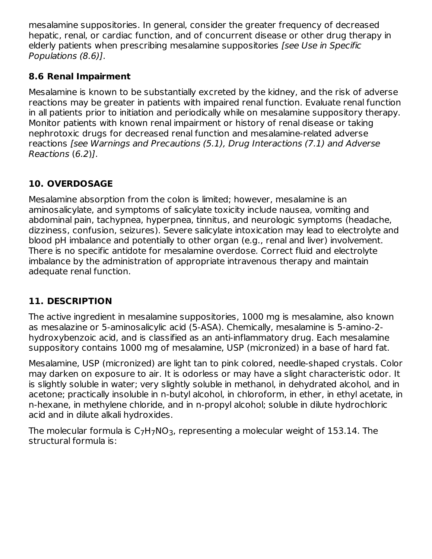mesalamine suppositories. In general, consider the greater frequency of decreased hepatic, renal, or cardiac function, and of concurrent disease or other drug therapy in elderly patients when prescribing mesalamine suppositories [see Use in Specific Populations (8.6)].

### **8.6 Renal Impairment**

Mesalamine is known to be substantially excreted by the kidney, and the risk of adverse reactions may be greater in patients with impaired renal function. Evaluate renal function in all patients prior to initiation and periodically while on mesalamine suppository therapy. Monitor patients with known renal impairment or history of renal disease or taking nephrotoxic drugs for decreased renal function and mesalamine-related adverse reactions [see Warnings and Precautions (5.1), Drug Interactions (7.1) and Adverse Reactions (6.2)].

## **10. OVERDOSAGE**

Mesalamine absorption from the colon is limited; however, mesalamine is an aminosalicylate, and symptoms of salicylate toxicity include nausea, vomiting and abdominal pain, tachypnea, hyperpnea, tinnitus, and neurologic symptoms (headache, dizziness, confusion, seizures). Severe salicylate intoxication may lead to electrolyte and blood pH imbalance and potentially to other organ (e.g., renal and liver) involvement. There is no specific antidote for mesalamine overdose. Correct fluid and electrolyte imbalance by the administration of appropriate intravenous therapy and maintain adequate renal function.

## **11. DESCRIPTION**

The active ingredient in mesalamine suppositories, 1000 mg is mesalamine, also known as mesalazine or 5-aminosalicylic acid (5-ASA). Chemically, mesalamine is 5-amino-2 hydroxybenzoic acid, and is classified as an anti-inflammatory drug. Each mesalamine suppository contains 1000 mg of mesalamine, USP (micronized) in a base of hard fat.

Mesalamine, USP (micronized) are light tan to pink colored, needle-shaped crystals. Color may darken on exposure to air. It is odorless or may have a slight characteristic odor. It is slightly soluble in water; very slightly soluble in methanol, in dehydrated alcohol, and in acetone; practically insoluble in n-butyl alcohol, in chloroform, in ether, in ethyl acetate, in n-hexane, in methylene chloride, and in n-propyl alcohol; soluble in dilute hydrochloric acid and in dilute alkali hydroxides.

The molecular formula is  $\mathsf{C}_7\mathsf{H}_7\mathsf{NO}_3$ , representing a molecular weight of 153.14. The structural formula is: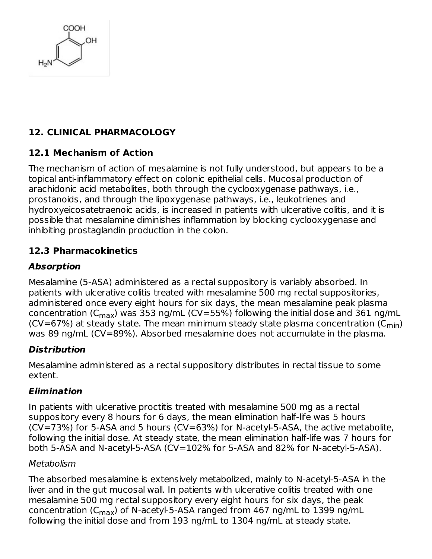

## **12. CLINICAL PHARMACOLOGY**

### **12.1 Mechanism of Action**

The mechanism of action of mesalamine is not fully understood, but appears to be a topical anti-inflammatory effect on colonic epithelial cells. Mucosal production of arachidonic acid metabolites, both through the cyclooxygenase pathways, i.e., prostanoids, and through the lipoxygenase pathways, i.e., leukotrienes and hydroxyeicosatetraenoic acids, is increased in patients with ulcerative colitis, and it is possible that mesalamine diminishes inflammation by blocking cyclooxygenase and inhibiting prostaglandin production in the colon.

### **12.3 Pharmacokinetics**

### **Absorption**

Mesalamine (5-ASA) administered as a rectal suppository is variably absorbed. In patients with ulcerative colitis treated with mesalamine 500 mg rectal suppositories, administered once every eight hours for six days, the mean mesalamine peak plasma concentration (C $_{\sf max}$ ) was 353 ng/mL (CV=55%) following the initial dose and 361 ng/mL (CV=67%) at steady state. The mean minimum steady state plasma concentration (C $_{\sf min}$ ) was 89 ng/mL (CV=89%). Absorbed mesalamine does not accumulate in the plasma.

### **Distribution**

Mesalamine administered as a rectal suppository distributes in rectal tissue to some extent.

#### **Elimination**

In patients with ulcerative proctitis treated with mesalamine 500 mg as a rectal suppository every 8 hours for 6 days, the mean elimination half-life was 5 hours (CV=73%) for 5-ASA and 5 hours (CV=63%) for N-acetyl-5-ASA, the active metabolite, following the initial dose. At steady state, the mean elimination half-life was 7 hours for both 5-ASA and N-acetyl-5-ASA (CV=102% for 5-ASA and 82% for N-acetyl-5-ASA).

#### Metabolism

The absorbed mesalamine is extensively metabolized, mainly to N-acetyl-5-ASA in the liver and in the gut mucosal wall. In patients with ulcerative colitis treated with one mesalamine 500 mg rectal suppository every eight hours for six days, the peak concentration (C<sub>max</sub>) of N-acetyl-5-ASA ranged from 467 ng/mL to 1399 ng/mL following the initial dose and from 193 ng/mL to 1304 ng/mL at steady state.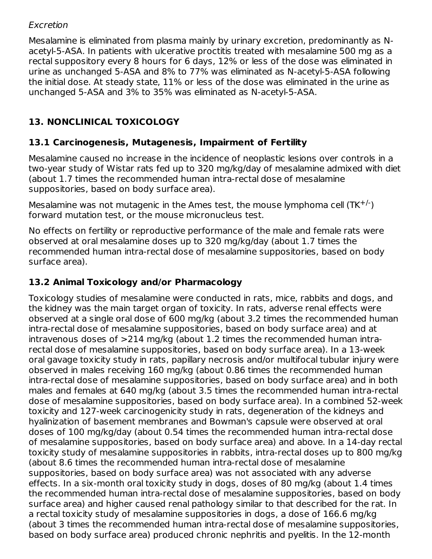#### Excretion

Mesalamine is eliminated from plasma mainly by urinary excretion, predominantly as Nacetyl-5-ASA. In patients with ulcerative proctitis treated with mesalamine 500 mg as a rectal suppository every 8 hours for 6 days, 12% or less of the dose was eliminated in urine as unchanged 5-ASA and 8% to 77% was eliminated as N-acetyl-5-ASA following the initial dose. At steady state, 11% or less of the dose was eliminated in the urine as unchanged 5-ASA and 3% to 35% was eliminated as N-acetyl-5-ASA.

## **13. NONCLINICAL TOXICOLOGY**

### **13.1 Carcinogenesis, Mutagenesis, Impairment of Fertility**

Mesalamine caused no increase in the incidence of neoplastic lesions over controls in a two-year study of Wistar rats fed up to 320 mg/kg/day of mesalamine admixed with diet (about 1.7 times the recommended human intra-rectal dose of mesalamine suppositories, based on body surface area).

Mesalamine was not mutagenic in the Ames test, the mouse lymphoma cell  $(TK^{+/})$ forward mutation test, or the mouse micronucleus test.

No effects on fertility or reproductive performance of the male and female rats were observed at oral mesalamine doses up to 320 mg/kg/day (about 1.7 times the recommended human intra-rectal dose of mesalamine suppositories, based on body surface area).

### **13.2 Animal Toxicology and/or Pharmacology**

Toxicology studies of mesalamine were conducted in rats, mice, rabbits and dogs, and the kidney was the main target organ of toxicity. In rats, adverse renal effects were observed at a single oral dose of 600 mg/kg (about 3.2 times the recommended human intra-rectal dose of mesalamine suppositories, based on body surface area) and at intravenous doses of >214 mg/kg (about 1.2 times the recommended human intrarectal dose of mesalamine suppositories, based on body surface area). In a 13-week oral gavage toxicity study in rats, papillary necrosis and/or multifocal tubular injury were observed in males receiving 160 mg/kg (about 0.86 times the recommended human intra-rectal dose of mesalamine suppositories, based on body surface area) and in both males and females at 640 mg/kg (about 3.5 times the recommended human intra-rectal dose of mesalamine suppositories, based on body surface area). In a combined 52-week toxicity and 127-week carcinogenicity study in rats, degeneration of the kidneys and hyalinization of basement membranes and Bowman's capsule were observed at oral doses of 100 mg/kg/day (about 0.54 times the recommended human intra-rectal dose of mesalamine suppositories, based on body surface area) and above. In a 14-day rectal toxicity study of mesalamine suppositories in rabbits, intra-rectal doses up to 800 mg/kg (about 8.6 times the recommended human intra-rectal dose of mesalamine suppositories, based on body surface area) was not associated with any adverse effects. In a six-month oral toxicity study in dogs, doses of 80 mg/kg (about 1.4 times the recommended human intra-rectal dose of mesalamine suppositories, based on body surface area) and higher caused renal pathology similar to that described for the rat. In a rectal toxicity study of mesalamine suppositories in dogs, a dose of 166.6 mg/kg (about 3 times the recommended human intra-rectal dose of mesalamine suppositories, based on body surface area) produced chronic nephritis and pyelitis. In the 12-month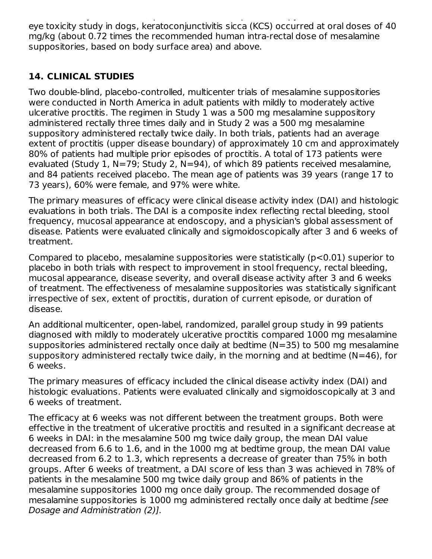based on body surface area) produced chronic nephritis and pyelitis. In the 12-month eye toxicity study in dogs, keratoconjunctivitis sicca (KCS) occurred at oral doses of 40 mg/kg (about 0.72 times the recommended human intra-rectal dose of mesalamine suppositories, based on body surface area) and above.

## **14. CLINICAL STUDIES**

Two double-blind, placebo-controlled, multicenter trials of mesalamine suppositories were conducted in North America in adult patients with mildly to moderately active ulcerative proctitis. The regimen in Study 1 was a 500 mg mesalamine suppository administered rectally three times daily and in Study 2 was a 500 mg mesalamine suppository administered rectally twice daily. In both trials, patients had an average extent of proctitis (upper disease boundary) of approximately 10 cm and approximately 80% of patients had multiple prior episodes of proctitis. A total of 173 patients were evaluated (Study 1, N=79; Study 2, N=94), of which 89 patients received mesalamine, and 84 patients received placebo. The mean age of patients was 39 years (range 17 to 73 years), 60% were female, and 97% were white.

The primary measures of efficacy were clinical disease activity index (DAI) and histologic evaluations in both trials. The DAI is a composite index reflecting rectal bleeding, stool frequency, mucosal appearance at endoscopy, and a physician's global assessment of disease. Patients were evaluated clinically and sigmoidoscopically after 3 and 6 weeks of treatment.

Compared to placebo, mesalamine suppositories were statistically (p<0.01) superior to placebo in both trials with respect to improvement in stool frequency, rectal bleeding, mucosal appearance, disease severity, and overall disease activity after 3 and 6 weeks of treatment. The effectiveness of mesalamine suppositories was statistically significant irrespective of sex, extent of proctitis, duration of current episode, or duration of disease.

An additional multicenter, open-label, randomized, parallel group study in 99 patients diagnosed with mildly to moderately ulcerative proctitis compared 1000 mg mesalamine suppositories administered rectally once daily at bedtime (N=35) to 500 mg mesalamine suppository administered rectally twice daily, in the morning and at bedtime (N=46), for 6 weeks.

The primary measures of efficacy included the clinical disease activity index (DAI) and histologic evaluations. Patients were evaluated clinically and sigmoidoscopically at 3 and 6 weeks of treatment.

The efficacy at 6 weeks was not different between the treatment groups. Both were effective in the treatment of ulcerative proctitis and resulted in a significant decrease at 6 weeks in DAI: in the mesalamine 500 mg twice daily group, the mean DAI value decreased from 6.6 to 1.6, and in the 1000 mg at bedtime group, the mean DAI value decreased from 6.2 to 1.3, which represents a decrease of greater than 75% in both groups. After 6 weeks of treatment, a DAI score of less than 3 was achieved in 78% of patients in the mesalamine 500 mg twice daily group and 86% of patients in the mesalamine suppositories 1000 mg once daily group. The recommended dosage of mesalamine suppositories is 1000 mg administered rectally once daily at bedtime [see Dosage and Administration (2)].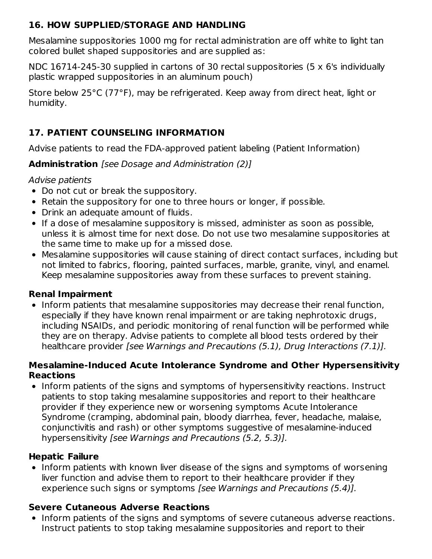### **16. HOW SUPPLIED/STORAGE AND HANDLING**

Mesalamine suppositories 1000 mg for rectal administration are off white to light tan colored bullet shaped suppositories and are supplied as:

NDC 16714-245-30 supplied in cartons of 30 rectal suppositories (5 x 6's individually plastic wrapped suppositories in an aluminum pouch)

Store below 25°C (77°F), may be refrigerated. Keep away from direct heat, light or humidity.

## **17. PATIENT COUNSELING INFORMATION**

Advise patients to read the FDA-approved patient labeling (Patient Information)

**Administration** [see Dosage and Administration (2)]

#### Advise patients

- Do not cut or break the suppository.
- Retain the suppository for one to three hours or longer, if possible.
- Drink an adequate amount of fluids.
- If a dose of mesalamine suppository is missed, administer as soon as possible, unless it is almost time for next dose. Do not use two mesalamine suppositories at the same time to make up for a missed dose.
- Mesalamine suppositories will cause staining of direct contact surfaces, including but not limited to fabrics, flooring, painted surfaces, marble, granite, vinyl, and enamel. Keep mesalamine suppositories away from these surfaces to prevent staining.

### **Renal Impairment**

• Inform patients that mesalamine suppositories may decrease their renal function, especially if they have known renal impairment or are taking nephrotoxic drugs, including NSAIDs, and periodic monitoring of renal function will be performed while they are on therapy. Advise patients to complete all blood tests ordered by their healthcare provider [see Warnings and Precautions (5.1), Drug Interactions (7.1)].

#### **Mesalamine-Induced Acute Intolerance Syndrome and Other Hypersensitivity Reactions**

• Inform patients of the signs and symptoms of hypersensitivity reactions. Instruct patients to stop taking mesalamine suppositories and report to their healthcare provider if they experience new or worsening symptoms Acute Intolerance Syndrome (cramping, abdominal pain, bloody diarrhea, fever, headache, malaise, conjunctivitis and rash) or other symptoms suggestive of mesalamine-induced hypersensitivity [see Warnings and Precautions (5.2, 5.3)].

### **Hepatic Failure**

• Inform patients with known liver disease of the signs and symptoms of worsening liver function and advise them to report to their healthcare provider if they experience such signs or symptoms [see Warnings and Precautions (5.4)].

### **Severe Cutaneous Adverse Reactions**

• Inform patients of the signs and symptoms of severe cutaneous adverse reactions. Instruct patients to stop taking mesalamine suppositories and report to their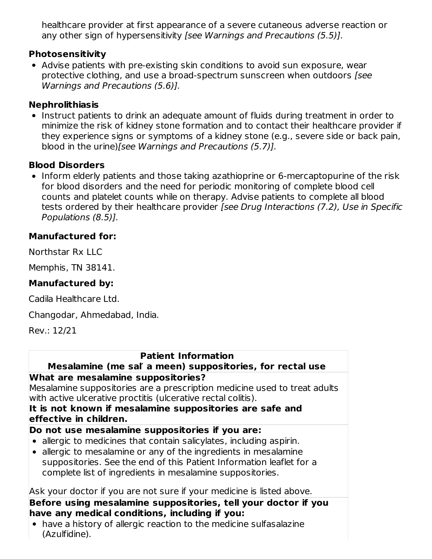healthcare provider at first appearance of a severe cutaneous adverse reaction or any other sign of hypersensitivity [see Warnings and Precautions (5.5)].

#### **Photosensitivity**

Advise patients with pre-existing skin conditions to avoid sun exposure, wear protective clothing, and use a broad-spectrum sunscreen when outdoors [see Warnings and Precautions (5.6)].

#### **Nephrolithiasis**

• Instruct patients to drink an adequate amount of fluids during treatment in order to minimize the risk of kidney stone formation and to contact their healthcare provider if they experience signs or symptoms of a kidney stone (e.g., severe side or back pain, blood in the urine)[see Warnings and Precautions (5.7)].

#### **Blood Disorders**

• Inform elderly patients and those taking azathioprine or 6-mercaptopurine of the risk for blood disorders and the need for periodic monitoring of complete blood cell counts and platelet counts while on therapy. Advise patients to complete all blood tests ordered by their healthcare provider [see Drug Interactions (7.2), Use in Specific Populations (8.5)].

### **Manufactured for:**

Northstar Rx LLC

Memphis, TN 38141.

### **Manufactured by:**

Cadila Healthcare Ltd.

Changodar, Ahmedabad, India.

Rev.: 12/21

#### **Patient Information**

#### **Mesalamine (me sal′ a meen) suppositories, for rectal use What are mesalamine suppositories?**

Mesalamine suppositories are a prescription medicine used to treat adults with active ulcerative proctitis (ulcerative rectal colitis).

#### **It is not known if mesalamine suppositories are safe and effective in children.**

#### **Do not use mesalamine suppositories if you are:**

- allergic to medicines that contain salicylates, including aspirin.
- allergic to mesalamine or any of the ingredients in mesalamine suppositories. See the end of this Patient Information leaflet for a complete list of ingredients in mesalamine suppositories.

#### Ask your doctor if you are not sure if your medicine is listed above.

#### **Before using mesalamine suppositories, tell your doctor if you have any medical conditions, including if you:**

have a history of allergic reaction to the medicine sulfasalazine (Azulfidine).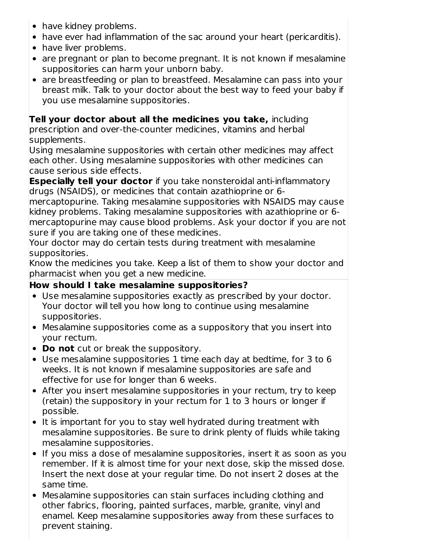- have kidney problems.
- have ever had inflammation of the sac around your heart (pericarditis).
- have liver problems.
- are pregnant or plan to become pregnant. It is not known if mesalamine suppositories can harm your unborn baby.
- are breastfeeding or plan to breastfeed. Mesalamine can pass into your breast milk. Talk to your doctor about the best way to feed your baby if you use mesalamine suppositories.

# **Tell your doctor about all the medicines you take,** including

prescription and over-the-counter medicines, vitamins and herbal supplements.

Using mesalamine suppositories with certain other medicines may affect each other. Using mesalamine suppositories with other medicines can cause serious side effects.

**Especially tell your doctor** if you take nonsteroidal anti-inflammatory drugs (NSAIDS), or medicines that contain azathioprine or 6-

mercaptopurine. Taking mesalamine suppositories with NSAIDS may cause kidney problems. Taking mesalamine suppositories with azathioprine or 6 mercaptopurine may cause blood problems. Ask your doctor if you are not sure if you are taking one of these medicines.

Your doctor may do certain tests during treatment with mesalamine suppositories.

Know the medicines you take. Keep a list of them to show your doctor and pharmacist when you get a new medicine.

## **How should I take mesalamine suppositories?**

- Use mesalamine suppositories exactly as prescribed by your doctor. Your doctor will tell you how long to continue using mesalamine suppositories.
- Mesalamine suppositories come as a suppository that you insert into your rectum.
- **Do not** cut or break the suppository.
- Use mesalamine suppositories 1 time each day at bedtime, for 3 to 6 weeks. It is not known if mesalamine suppositories are safe and effective for use for longer than 6 weeks.
- After you insert mesalamine suppositories in your rectum, try to keep (retain) the suppository in your rectum for 1 to 3 hours or longer if possible.
- It is important for you to stay well hydrated during treatment with mesalamine suppositories. Be sure to drink plenty of fluids while taking mesalamine suppositories.
- If you miss a dose of mesalamine suppositories, insert it as soon as you remember. If it is almost time for your next dose, skip the missed dose. Insert the next dose at your regular time. Do not insert 2 doses at the same time.
- Mesalamine suppositories can stain surfaces including clothing and other fabrics, flooring, painted surfaces, marble, granite, vinyl and enamel. Keep mesalamine suppositories away from these surfaces to prevent staining.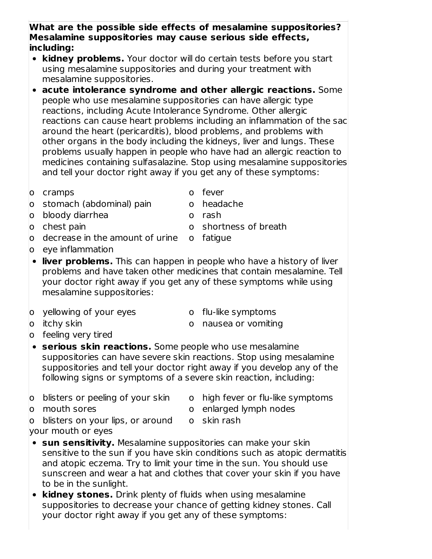- **What are the possible side effects of mesalamine suppositories? Mesalamine suppositories may cause serious side effects, including:**
- **kidney problems.** Your doctor will do certain tests before you start using mesalamine suppositories and during your treatment with mesalamine suppositories.
- **acute intolerance syndrome and other allergic reactions.** Some people who use mesalamine suppositories can have allergic type reactions, including Acute Intolerance Syndrome. Other allergic reactions can cause heart problems including an inflammation of the sac around the heart (pericarditis), blood problems, and problems with other organs in the body including the kidneys, liver and lungs. These problems usually happen in people who have had an allergic reaction to medicines containing sulfasalazine. Stop using mesalamine suppositories and tell your doctor right away if you get any of these symptoms:
- o cramps o fever
- o stomach (abdominal) pain o headache
- o bloody diarrhea o rash

o eye inflammation

- o chest pain o shortness of breath
- o decrease in the amount of urine o fatigue
- -
- **liver problems.** This can happen in people who have a history of liver problems and have taken other medicines that contain mesalamine. Tell your doctor right away if you get any of these symptoms while using mesalamine suppositories:
- o yellowing of your eyes o flu-like symptoms
	-
- 
- o itchy skin o nausea or vomiting
- o feeling very tired
- **serious skin reactions.** Some people who use mesalamine suppositories can have severe skin reactions. Stop using mesalamine suppositories and tell your doctor right away if you develop any of the following signs or symptoms of a severe skin reaction, including:
- o blisters or peeling of your skin o high fever or flu-like symptoms
- 
- 
- o mouth sores o enlarged lymph nodes
- o blisters on your lips, or around o skin rash your mouth or eyes
- **sun sensitivity.** Mesalamine suppositories can make your skin sensitive to the sun if you have skin conditions such as atopic dermatitis and atopic eczema. Try to limit your time in the sun. You should use sunscreen and wear a hat and clothes that cover your skin if you have to be in the sunlight.
- **kidney stones.** Drink plenty of fluids when using mesalamine suppositories to decrease your chance of getting kidney stones. Call your doctor right away if you get any of these symptoms: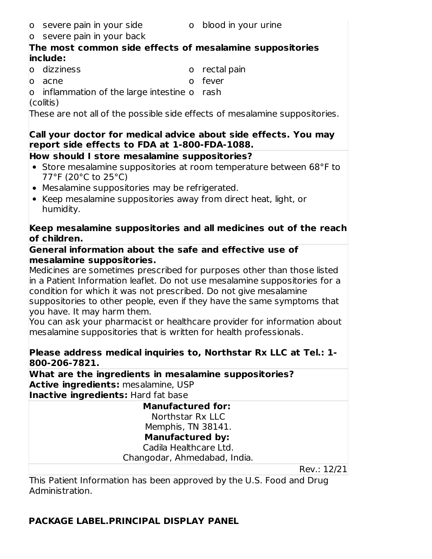- o severe pain in your side o blood in your urine
- 
- o severe pain in your back

### **The most common side effects of mesalamine suppositories include:**

- o dizziness o rectal pain
	-
- o acne o fever
- o inflammation of the large intestine o rash
- (colitis)

These are not all of the possible side effects of mesalamine suppositories.

### **Call your doctor for medical advice about side effects. You may report side effects to FDA at 1-800-FDA-1088.**

## **How should I store mesalamine suppositories?**

- Store mesalamine suppositories at room temperature between 68°F to 77°F (20°C to 25°C)
- Mesalamine suppositories may be refrigerated.
- Keep mesalamine suppositories away from direct heat, light, or humidity.

### **Keep mesalamine suppositories and all medicines out of the reach of children.**

#### **General information about the safe and effective use of mesalamine suppositories.**

Medicines are sometimes prescribed for purposes other than those listed in a Patient Information leaflet. Do not use mesalamine suppositories for a condition for which it was not prescribed. Do not give mesalamine suppositories to other people, even if they have the same symptoms that you have. It may harm them.

You can ask your pharmacist or healthcare provider for information about mesalamine suppositories that is written for health professionals.

### **Please address medical inquiries to, Northstar Rx LLC at Tel.: 1- 800-206-7821.**

**What are the ingredients in mesalamine suppositories? Active ingredients:** mesalamine, USP **Inactive ingredients:** Hard fat base

| <b>Manufactured for:</b>     |             |  |
|------------------------------|-------------|--|
| Northstar Rx LLC             |             |  |
| Memphis, TN 38141.           |             |  |
| <b>Manufactured by:</b>      |             |  |
| Cadila Healthcare Ltd.       |             |  |
| Changodar, Ahmedabad, India. |             |  |
|                              | Rev.: 12/21 |  |

This Patient Information has been approved by the U.S. Food and Drug Administration.

# **PACKAGE LABEL.PRINCIPAL DISPLAY PANEL**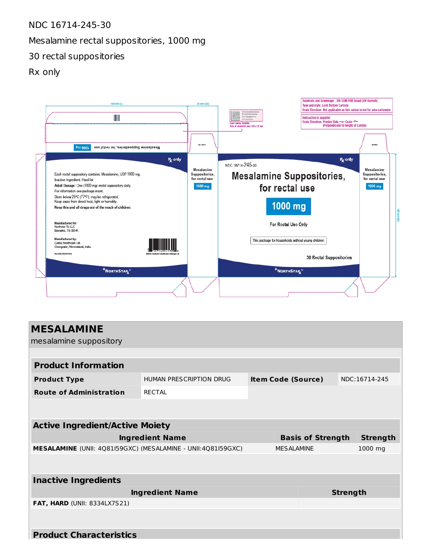#### NDC 16714-245-30

#### Mesalamine rectal suppositories, 1000 mg

30 rectal suppositories

#### Rx only



| <b>MESALAMINE</b><br>mesalamine suppository                  |                                |  |                           |  |                 |                 |
|--------------------------------------------------------------|--------------------------------|--|---------------------------|--|-----------------|-----------------|
|                                                              |                                |  |                           |  |                 |                 |
| <b>Product Information</b>                                   |                                |  |                           |  |                 |                 |
| <b>Product Type</b>                                          | <b>HUMAN PRESCRIPTION DRUG</b> |  | <b>Item Code (Source)</b> |  |                 | NDC:16714-245   |
| <b>Route of Administration</b>                               | <b>RECTAL</b>                  |  |                           |  |                 |                 |
|                                                              |                                |  |                           |  |                 |                 |
| <b>Active Ingredient/Active Moiety</b>                       |                                |  |                           |  |                 |                 |
| <b>Ingredient Name</b>                                       |                                |  | <b>Basis of Strength</b>  |  |                 | <b>Strength</b> |
| MESALAMINE (UNII: 4Q81I59GXC) (MESALAMINE - UNII:4Q81I59GXC) |                                |  | <b>MESALAMINE</b>         |  |                 | 1000 mg         |
|                                                              |                                |  |                           |  |                 |                 |
| <b>Inactive Ingredients</b>                                  |                                |  |                           |  |                 |                 |
| <b>Ingredient Name</b>                                       |                                |  |                           |  | <b>Strength</b> |                 |
| <b>FAT, HARD (UNII: 8334LX7S21)</b>                          |                                |  |                           |  |                 |                 |
|                                                              |                                |  |                           |  |                 |                 |
| <b>Product Characteristics</b>                               |                                |  |                           |  |                 |                 |